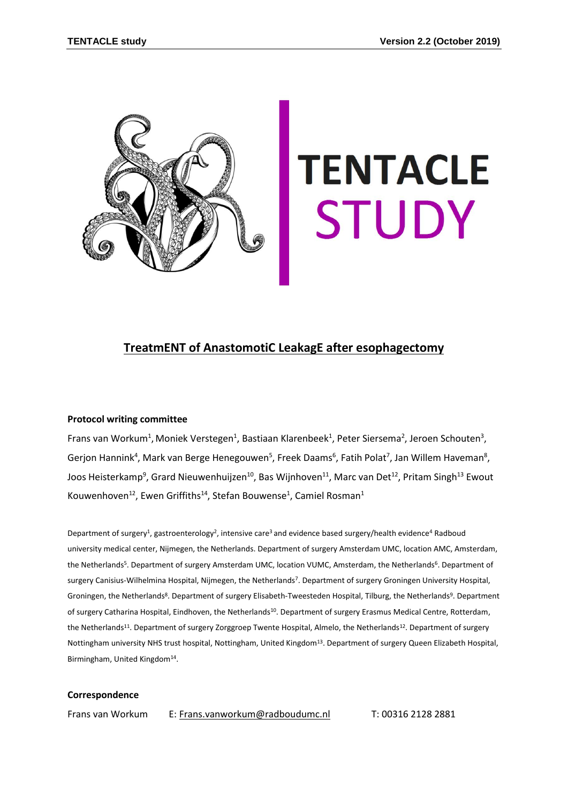

# **TENTACLE STUDY**

# **TreatmENT of AnastomotiC LeakagE after esophagectomy**

## **Protocol writing committee**

Frans van Workum<sup>1</sup>, Moniek Verstegen<sup>1</sup>, Bastiaan Klarenbeek<sup>1</sup>, Peter Siersema<sup>2</sup>, Jeroen Schouten<sup>3</sup>, Gerjon Hannink<sup>4</sup>, Mark van Berge Henegouwen<sup>5</sup>, Freek Daams<sup>6</sup>, Fatih Polat<sup>7</sup>, Jan Willem Haveman<sup>8</sup>, Joos Heisterkamp<sup>9</sup>, Grard Nieuwenhuijzen<sup>10</sup>, Bas Wijnhoven<sup>11</sup>, Marc van Det<sup>12</sup>, Pritam Singh<sup>13</sup> Ewout Kouwenhoven<sup>12</sup>, Ewen Griffiths<sup>14</sup>, Stefan Bouwense<sup>1</sup>, Camiel Rosman<sup>1</sup>

Department of surgery<sup>1</sup>, gastroenterology<sup>2</sup>, intensive care<sup>3</sup> and evidence based surgery/health evidence<sup>4</sup> Radboud university medical center, Nijmegen, the Netherlands. Department of surgery Amsterdam UMC, location AMC, Amsterdam, the Netherlands<sup>5</sup>. Department of surgery Amsterdam UMC, location VUMC, Amsterdam, the Netherlands<sup>6</sup>. Department of surgery Canisius-Wilhelmina Hospital, Nijmegen, the Netherlands<sup>7</sup> . Department of surgery Groningen University Hospital, Groningen, the Netherlands<sup>8</sup>. Department of surgery Elisabeth-Tweesteden Hospital, Tilburg, the Netherlands<sup>9</sup>. Department of surgery Catharina Hospital, Eindhoven, the Netherlands<sup>10</sup>. Department of surgery Erasmus Medical Centre, Rotterdam, the Netherlands<sup>11</sup>. Department of surgery Zorggroep Twente Hospital, Almelo, the Netherlands<sup>12</sup>. Department of surgery Nottingham university NHS trust hospital, Nottingham, United Kingdom<sup>13</sup>. Department of surgery Queen Elizabeth Hospital, Birmingham, United Kingdom<sup>14</sup>.

#### **Correspondence**

Frans van Workum E: [Frans.vanworkum@radboudumc.nl](mailto:Frans.vanworkum@radboudumc.nl) T: 00316 2128 2881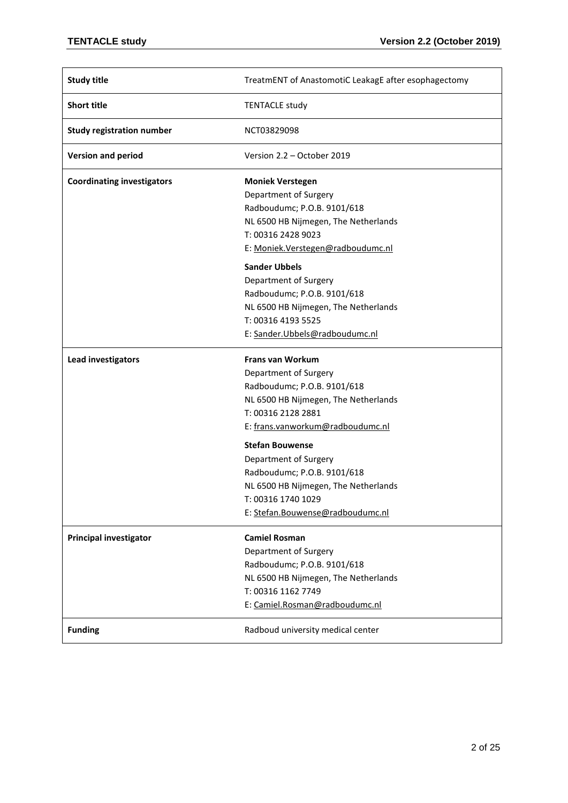| <b>Study title</b>                | TreatmENT of AnastomotiC LeakagE after esophagectomy                                                                                                                             |
|-----------------------------------|----------------------------------------------------------------------------------------------------------------------------------------------------------------------------------|
| <b>Short title</b>                | <b>TENTACLE study</b>                                                                                                                                                            |
| <b>Study registration number</b>  | NCT03829098                                                                                                                                                                      |
| <b>Version and period</b>         | Version 2.2 – October 2019                                                                                                                                                       |
| <b>Coordinating investigators</b> | <b>Moniek Verstegen</b><br>Department of Surgery                                                                                                                                 |
|                                   | Radboudumc; P.O.B. 9101/618<br>NL 6500 HB Nijmegen, The Netherlands<br>T: 00316 2428 9023                                                                                        |
|                                   | E: Moniek. Verstegen@radboudumc.nl                                                                                                                                               |
|                                   | <b>Sander Ubbels</b><br>Department of Surgery<br>Radboudumc; P.O.B. 9101/618<br>NL 6500 HB Nijmegen, The Netherlands<br>T: 00316 4193 5525<br>E: Sander.Ubbels@radboudumc.nl     |
| Lead investigators                | <b>Frans van Workum</b><br>Department of Surgery                                                                                                                                 |
|                                   | Radboudumc; P.O.B. 9101/618<br>NL 6500 HB Nijmegen, The Netherlands<br>T: 00316 2128 2881<br>E: frans.vanworkum@radboudumc.nl                                                    |
|                                   | <b>Stefan Bouwense</b><br>Department of Surgery<br>Radboudumc; P.O.B. 9101/618<br>NL 6500 HB Nijmegen, The Netherlands<br>T: 00316 1740 1029<br>E: Stefan.Bouwense@radboudumc.nl |
| <b>Principal investigator</b>     | <b>Camiel Rosman</b><br>Department of Surgery<br>Radboudumc; P.O.B. 9101/618<br>NL 6500 HB Nijmegen, The Netherlands<br>T: 00316 1162 7749<br>E: Camiel.Rosman@radboudumc.nl     |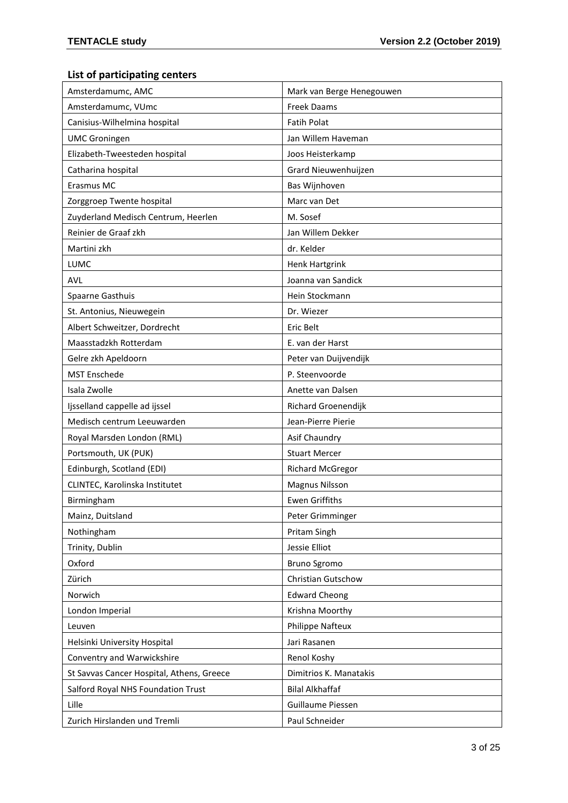# **List of participating centers**

| Amsterdamumc, AMC                         | Mark van Berge Henegouwen |
|-------------------------------------------|---------------------------|
| Amsterdamumc, VUmc                        | <b>Freek Daams</b>        |
| Canisius-Wilhelmina hospital              | <b>Fatih Polat</b>        |
| <b>UMC Groningen</b>                      | Jan Willem Haveman        |
| Elizabeth-Tweesteden hospital             | Joos Heisterkamp          |
| Catharina hospital                        | Grard Nieuwenhuijzen      |
| Erasmus MC                                | Bas Wijnhoven             |
| Zorggroep Twente hospital                 | Marc van Det              |
| Zuyderland Medisch Centrum, Heerlen       | M. Sosef                  |
| Reinier de Graaf zkh                      | Jan Willem Dekker         |
| Martini zkh                               | dr. Kelder                |
| LUMC                                      | <b>Henk Hartgrink</b>     |
| <b>AVL</b>                                | Joanna van Sandick        |
| Spaarne Gasthuis                          | Hein Stockmann            |
| St. Antonius, Nieuwegein                  | Dr. Wiezer                |
| Albert Schweitzer, Dordrecht              | Eric Belt                 |
| Maasstadzkh Rotterdam                     | E. van der Harst          |
| Gelre zkh Apeldoorn                       | Peter van Duijvendijk     |
| <b>MST Enschede</b>                       | P. Steenvoorde            |
| Isala Zwolle                              | Anette van Dalsen         |
| Ijsselland cappelle ad ijssel             | Richard Groenendijk       |
| Medisch centrum Leeuwarden                | Jean-Pierre Pierie        |
| Royal Marsden London (RML)                | Asif Chaundry             |
| Portsmouth, UK (PUK)                      | <b>Stuart Mercer</b>      |
| Edinburgh, Scotland (EDI)                 | <b>Richard McGregor</b>   |
| CLINTEC, Karolinska Institutet            | <b>Magnus Nilsson</b>     |
| Birmingham                                | <b>Ewen Griffiths</b>     |
| Mainz, Duitsland                          | Peter Grimminger          |
| Nothingham                                | Pritam Singh              |
| Trinity, Dublin                           | Jessie Elliot             |
| Oxford                                    | Bruno Sgromo              |
| Zürich                                    | Christian Gutschow        |
| Norwich                                   | <b>Edward Cheong</b>      |
| London Imperial                           | Krishna Moorthy           |
| Leuven                                    | Philippe Nafteux          |
| Helsinki University Hospital              | Jari Rasanen              |
| Conventry and Warwickshire                | Renol Koshy               |
| St Savvas Cancer Hospital, Athens, Greece | Dimitrios K. Manatakis    |
| Salford Royal NHS Foundation Trust        | <b>Bilal Alkhaffaf</b>    |
| Lille                                     | Guillaume Piessen         |
| Zurich Hirslanden und Tremli              | Paul Schneider            |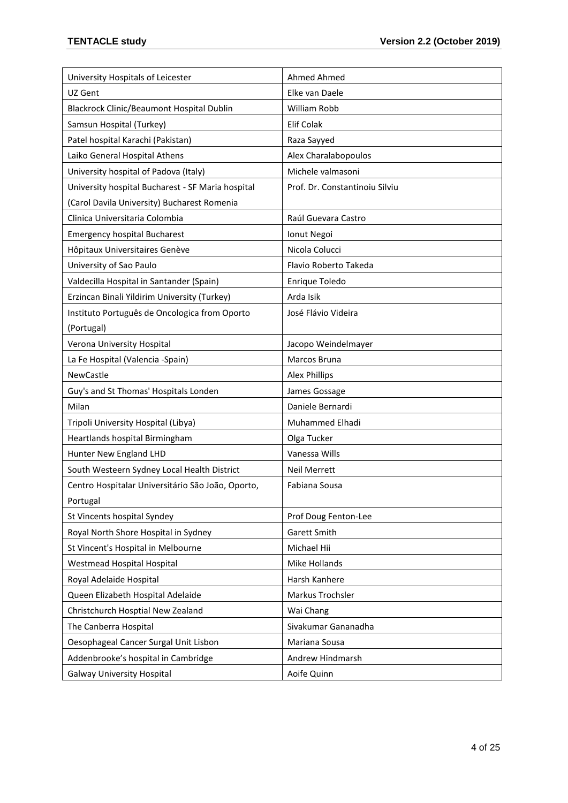| University Hospitals of Leicester                 | Ahmed Ahmed                    |
|---------------------------------------------------|--------------------------------|
| UZ Gent                                           | Elke van Daele                 |
| Blackrock Clinic/Beaumont Hospital Dublin         | <b>William Robb</b>            |
| Samsun Hospital (Turkey)                          | <b>Elif Colak</b>              |
| Patel hospital Karachi (Pakistan)                 | Raza Sayyed                    |
| Laiko General Hospital Athens                     | Alex Charalabopoulos           |
| University hospital of Padova (Italy)             | Michele valmasoni              |
| University hospital Bucharest - SF Maria hospital | Prof. Dr. Constantinoiu Silviu |
| (Carol Davila University) Bucharest Romenia       |                                |
| Clinica Universitaria Colombia                    | Raúl Guevara Castro            |
| <b>Emergency hospital Bucharest</b>               | Ionut Negoi                    |
| Hôpitaux Universitaires Genève                    | Nicola Colucci                 |
| University of Sao Paulo                           | Flavio Roberto Takeda          |
| Valdecilla Hospital in Santander (Spain)          | Enrique Toledo                 |
| Erzincan Binali Yildirim University (Turkey)      | Arda Isik                      |
| Instituto Português de Oncologica from Oporto     | José Flávio Videira            |
| (Portugal)                                        |                                |
| Verona University Hospital                        | Jacopo Weindelmayer            |
| La Fe Hospital (Valencia -Spain)                  | Marcos Bruna                   |
| <b>NewCastle</b>                                  | Alex Phillips                  |
| Guy's and St Thomas' Hospitals Londen             | James Gossage                  |
| Milan                                             | Daniele Bernardi               |
| Tripoli University Hospital (Libya)               | Muhammed Elhadi                |
| Heartlands hospital Birmingham                    | Olga Tucker                    |
| Hunter New England LHD                            | Vanessa Wills                  |
| South Westeern Sydney Local Health District       | <b>Neil Merrett</b>            |
| Centro Hospitalar Universitário São João, Oporto, | Fabiana Sousa                  |
| Portugal                                          |                                |
| St Vincents hospital Syndey                       | Prof Doug Fenton-Lee           |
| Royal North Shore Hospital in Sydney              | Garett Smith                   |
| St Vincent's Hospital in Melbourne                | Michael Hii                    |
| Westmead Hospital Hospital                        | Mike Hollands                  |
| Royal Adelaide Hospital                           | Harsh Kanhere                  |
| Queen Elizabeth Hospital Adelaide                 | Markus Trochsler               |
| Christchurch Hosptial New Zealand                 | Wai Chang                      |
| The Canberra Hospital                             | Sivakumar Gananadha            |
| Oesophageal Cancer Surgal Unit Lisbon             | Mariana Sousa                  |
| Addenbrooke's hospital in Cambridge               | Andrew Hindmarsh               |
| <b>Galway University Hospital</b>                 | Aoife Quinn                    |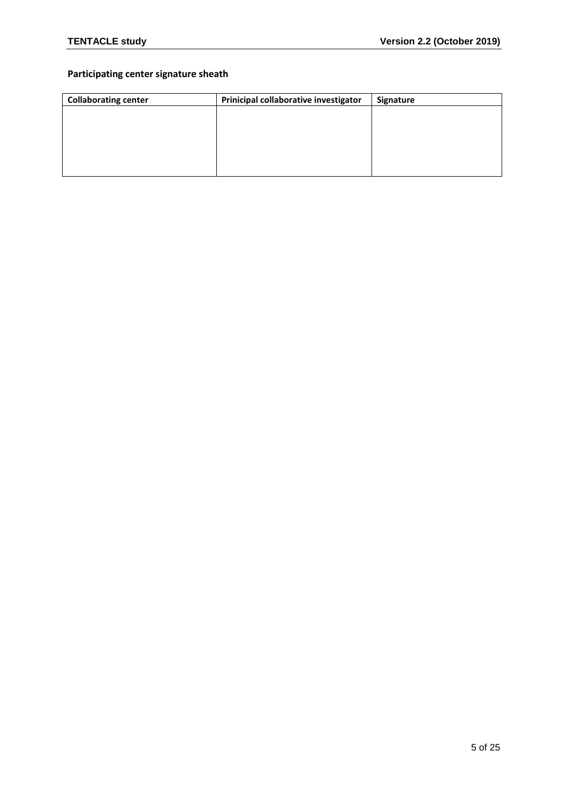# **Participating center signature sheath**

| <b>Collaborating center</b> | Prinicipal collaborative investigator | Signature |
|-----------------------------|---------------------------------------|-----------|
|                             |                                       |           |
|                             |                                       |           |
|                             |                                       |           |
|                             |                                       |           |
|                             |                                       |           |
|                             |                                       |           |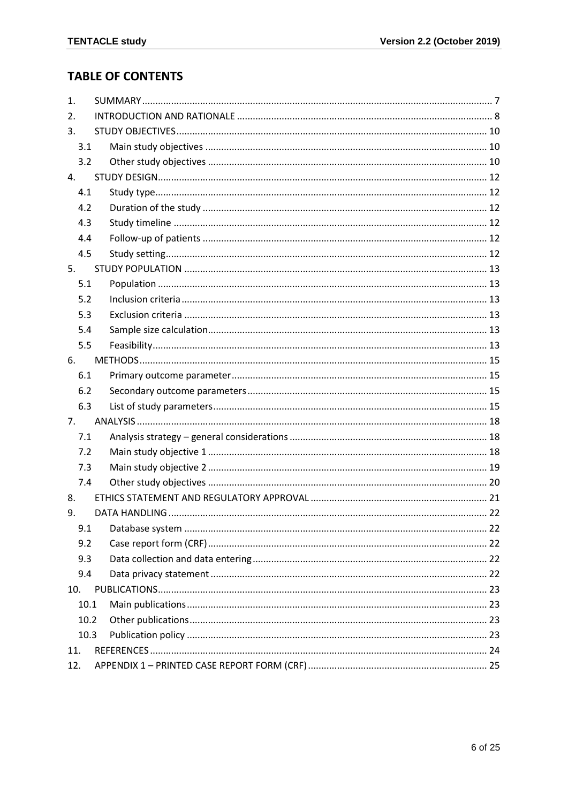# **TABLE OF CONTENTS**

| 1.   |  |
|------|--|
| 2.   |  |
| 3.   |  |
| 3.1  |  |
| 3.2  |  |
| 4.   |  |
| 4.1  |  |
| 4.2  |  |
| 4.3  |  |
| 4.4  |  |
| 4.5  |  |
| 5.   |  |
| 5.1  |  |
| 5.2  |  |
| 5.3  |  |
| 5.4  |  |
| 5.5  |  |
| 6.   |  |
| 6.1  |  |
| 6.2  |  |
| 6.3  |  |
| 7.   |  |
| 7.1  |  |
| 7.2  |  |
| 7.3  |  |
| 7.4  |  |
| 8.   |  |
| 9.   |  |
| 9.1  |  |
| 9.2  |  |
| 9.3  |  |
| 9.4  |  |
| 10.  |  |
| 10.1 |  |
| 10.2 |  |
| 10.3 |  |
| 11.  |  |
| 12.  |  |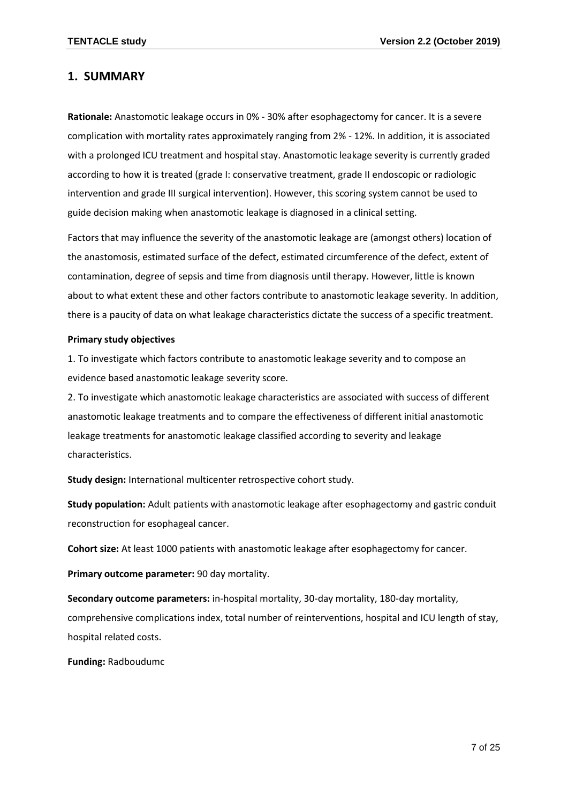# <span id="page-6-0"></span>**1. SUMMARY**

**Rationale:** Anastomotic leakage occurs in 0% - 30% after esophagectomy for cancer. It is a severe complication with mortality rates approximately ranging from 2% - 12%. In addition, it is associated with a prolonged ICU treatment and hospital stay. Anastomotic leakage severity is currently graded according to how it is treated (grade I: conservative treatment, grade II endoscopic or radiologic intervention and grade III surgical intervention). However, this scoring system cannot be used to guide decision making when anastomotic leakage is diagnosed in a clinical setting.

Factors that may influence the severity of the anastomotic leakage are (amongst others) location of the anastomosis, estimated surface of the defect, estimated circumference of the defect, extent of contamination, degree of sepsis and time from diagnosis until therapy. However, little is known about to what extent these and other factors contribute to anastomotic leakage severity. In addition, there is a paucity of data on what leakage characteristics dictate the success of a specific treatment.

#### **Primary study objectives**

1. To investigate which factors contribute to anastomotic leakage severity and to compose an evidence based anastomotic leakage severity score.

2. To investigate which anastomotic leakage characteristics are associated with success of different anastomotic leakage treatments and to compare the effectiveness of different initial anastomotic leakage treatments for anastomotic leakage classified according to severity and leakage characteristics.

**Study design:** International multicenter retrospective cohort study.

**Study population:** Adult patients with anastomotic leakage after esophagectomy and gastric conduit reconstruction for esophageal cancer.

**Cohort size:** At least 1000 patients with anastomotic leakage after esophagectomy for cancer.

**Primary outcome parameter:** 90 day mortality.

**Secondary outcome parameters:** in-hospital mortality, 30-day mortality, 180-day mortality, comprehensive complications index, total number of reinterventions, hospital and ICU length of stay, hospital related costs.

**Funding:** Radboudumc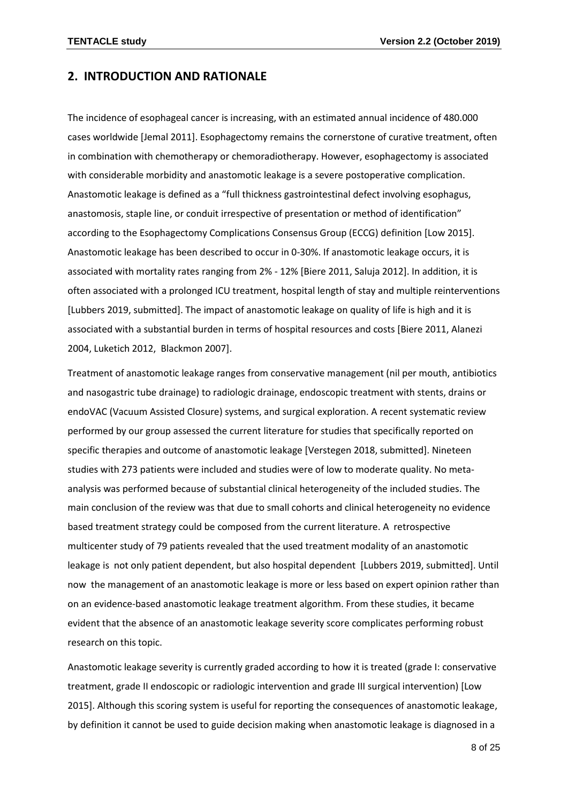## <span id="page-7-0"></span>**2. INTRODUCTION AND RATIONALE**

The incidence of esophageal cancer is increasing, with an estimated annual incidence of 480.000 cases worldwide [Jemal 2011]. Esophagectomy remains the cornerstone of curative treatment, often in combination with chemotherapy or chemoradiotherapy. However, esophagectomy is associated with considerable morbidity and anastomotic leakage is a severe postoperative complication. Anastomotic leakage is defined as a "full thickness gastrointestinal defect involving esophagus, anastomosis, staple line, or conduit irrespective of presentation or method of identification" according to the Esophagectomy Complications Consensus Group (ECCG) definition [Low 2015]. Anastomotic leakage has been described to occur in 0-30%. If anastomotic leakage occurs, it is associated with mortality rates ranging from 2% - 12% [Biere 2011, Saluja 2012]. In addition, it is often associated with a prolonged ICU treatment, hospital length of stay and multiple reinterventions [Lubbers 2019, submitted]. The impact of anastomotic leakage on quality of life is high and it is associated with a substantial burden in terms of hospital resources and costs [Biere 2011, Alanezi 2004, Luketich 2012, Blackmon 2007].

Treatment of anastomotic leakage ranges from conservative management (nil per mouth, antibiotics and nasogastric tube drainage) to radiologic drainage, endoscopic treatment with stents, drains or endoVAC (Vacuum Assisted Closure) systems, and surgical exploration. A recent systematic review performed by our group assessed the current literature for studies that specifically reported on specific therapies and outcome of anastomotic leakage [Verstegen 2018, submitted]. Nineteen studies with 273 patients were included and studies were of low to moderate quality. No metaanalysis was performed because of substantial clinical heterogeneity of the included studies. The main conclusion of the review was that due to small cohorts and clinical heterogeneity no evidence based treatment strategy could be composed from the current literature. A retrospective multicenter study of 79 patients revealed that the used treatment modality of an anastomotic leakage is not only patient dependent, but also hospital dependent [Lubbers 2019, submitted]. Until now the management of an anastomotic leakage is more or less based on expert opinion rather than on an evidence-based anastomotic leakage treatment algorithm. From these studies, it became evident that the absence of an anastomotic leakage severity score complicates performing robust research on this topic.

Anastomotic leakage severity is currently graded according to how it is treated (grade I: conservative treatment, grade II endoscopic or radiologic intervention and grade III surgical intervention) [Low 2015]. Although this scoring system is useful for reporting the consequences of anastomotic leakage, by definition it cannot be used to guide decision making when anastomotic leakage is diagnosed in a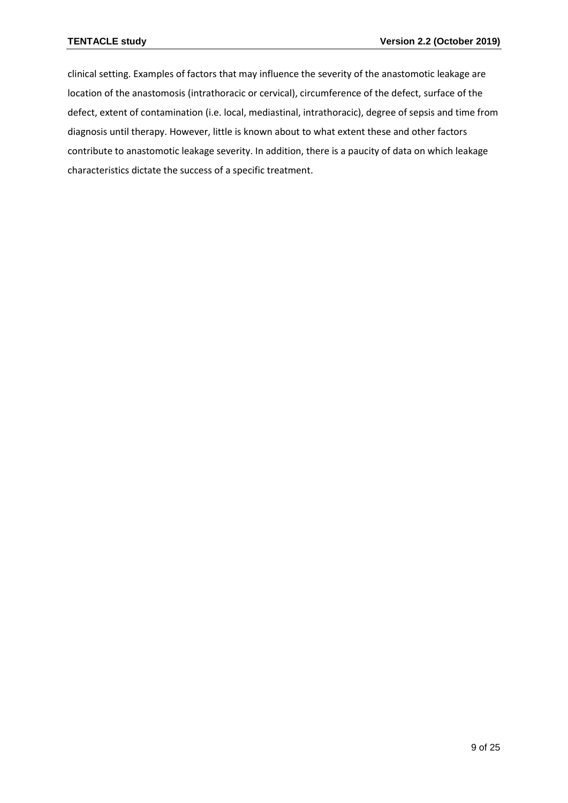clinical setting. Examples of factors that may influence the severity of the anastomotic leakage are location of the anastomosis (intrathoracic or cervical), circumference of the defect, surface of the defect, extent of contamination (i.e. local, mediastinal, intrathoracic), degree of sepsis and time from diagnosis until therapy. However, little is known about to what extent these and other factors contribute to anastomotic leakage severity. In addition, there is a paucity of data on which leakage characteristics dictate the success of a specific treatment.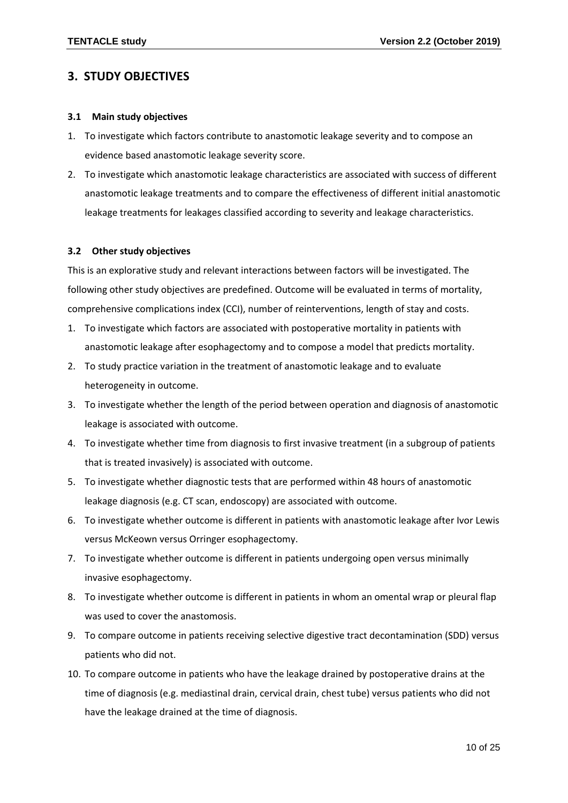# <span id="page-9-0"></span>**3. STUDY OBJECTIVES**

## <span id="page-9-1"></span>**3.1 Main study objectives**

- 1. To investigate which factors contribute to anastomotic leakage severity and to compose an evidence based anastomotic leakage severity score.
- 2. To investigate which anastomotic leakage characteristics are associated with success of different anastomotic leakage treatments and to compare the effectiveness of different initial anastomotic leakage treatments for leakages classified according to severity and leakage characteristics.

## <span id="page-9-2"></span>**3.2 Other study objectives**

This is an explorative study and relevant interactions between factors will be investigated. The following other study objectives are predefined. Outcome will be evaluated in terms of mortality, comprehensive complications index (CCI), number of reinterventions, length of stay and costs.

- 1. To investigate which factors are associated with postoperative mortality in patients with anastomotic leakage after esophagectomy and to compose a model that predicts mortality.
- 2. To study practice variation in the treatment of anastomotic leakage and to evaluate heterogeneity in outcome.
- 3. To investigate whether the length of the period between operation and diagnosis of anastomotic leakage is associated with outcome.
- 4. To investigate whether time from diagnosis to first invasive treatment (in a subgroup of patients that is treated invasively) is associated with outcome.
- 5. To investigate whether diagnostic tests that are performed within 48 hours of anastomotic leakage diagnosis (e.g. CT scan, endoscopy) are associated with outcome.
- 6. To investigate whether outcome is different in patients with anastomotic leakage after Ivor Lewis versus McKeown versus Orringer esophagectomy.
- 7. To investigate whether outcome is different in patients undergoing open versus minimally invasive esophagectomy.
- 8. To investigate whether outcome is different in patients in whom an omental wrap or pleural flap was used to cover the anastomosis.
- 9. To compare outcome in patients receiving selective digestive tract decontamination (SDD) versus patients who did not.
- 10. To compare outcome in patients who have the leakage drained by postoperative drains at the time of diagnosis (e.g. mediastinal drain, cervical drain, chest tube) versus patients who did not have the leakage drained at the time of diagnosis.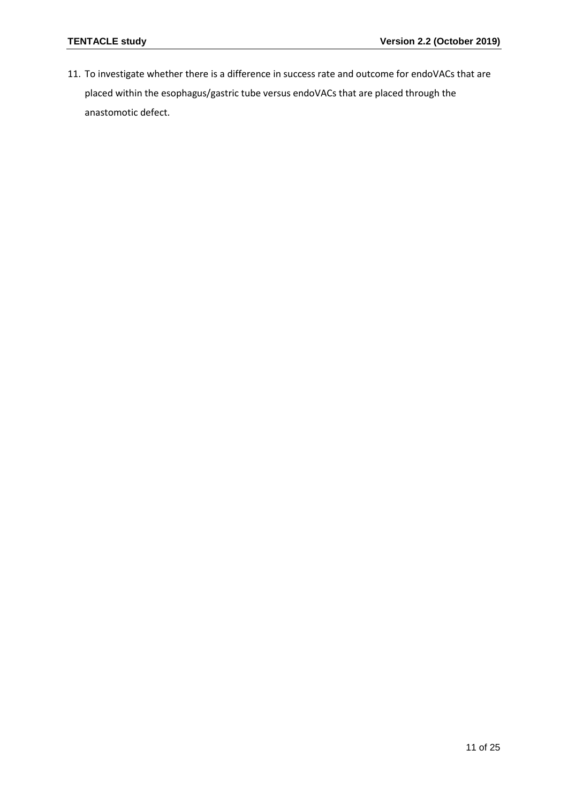11. To investigate whether there is a difference in success rate and outcome for endoVACs that are placed within the esophagus/gastric tube versus endoVACs that are placed through the anastomotic defect.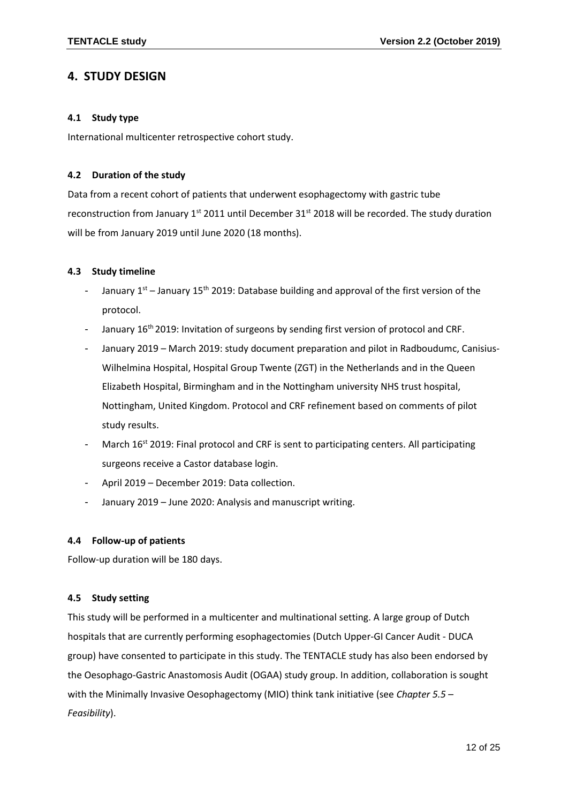# <span id="page-11-0"></span>**4. STUDY DESIGN**

## <span id="page-11-1"></span>**4.1 Study type**

International multicenter retrospective cohort study.

## <span id="page-11-2"></span>**4.2 Duration of the study**

Data from a recent cohort of patients that underwent esophagectomy with gastric tube reconstruction from January 1<sup>st</sup> 2011 until December 31<sup>st</sup> 2018 will be recorded. The study duration will be from January 2019 until June 2020 (18 months).

## <span id="page-11-3"></span>**4.3 Study timeline**

- January  $1^{st}$  January 15<sup>th</sup> 2019: Database building and approval of the first version of the protocol.
- January 16<sup>th</sup> 2019: Invitation of surgeons by sending first version of protocol and CRF.
- January 2019 March 2019: study document preparation and pilot in Radboudumc, Canisius-Wilhelmina Hospital, Hospital Group Twente (ZGT) in the Netherlands and in the Queen Elizabeth Hospital, Birmingham and in the Nottingham university NHS trust hospital, Nottingham, United Kingdom. Protocol and CRF refinement based on comments of pilot study results.
- March  $16^{st}$  2019: Final protocol and CRF is sent to participating centers. All participating surgeons receive a Castor database login.
- April 2019 December 2019: Data collection.
- January 2019 June 2020: Analysis and manuscript writing.

## <span id="page-11-4"></span>**4.4 Follow-up of patients**

Follow-up duration will be 180 days.

## <span id="page-11-5"></span>**4.5 Study setting**

This study will be performed in a multicenter and multinational setting. A large group of Dutch hospitals that are currently performing esophagectomies (Dutch Upper-GI Cancer Audit - DUCA group) have consented to participate in this study. The TENTACLE study has also been endorsed by the Oesophago-Gastric Anastomosis Audit (OGAA) study group. In addition, collaboration is sought with the Minimally Invasive Oesophagectomy (MIO) think tank initiative (see *Chapter 5.5 – Feasibility*).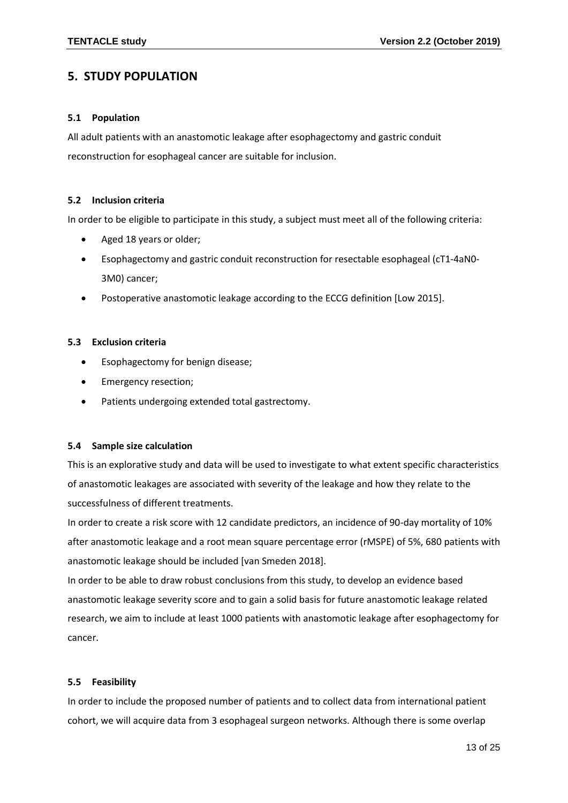# <span id="page-12-0"></span>**5. STUDY POPULATION**

## <span id="page-12-1"></span>**5.1 Population**

All adult patients with an anastomotic leakage after esophagectomy and gastric conduit reconstruction for esophageal cancer are suitable for inclusion.

## <span id="page-12-2"></span>**5.2 Inclusion criteria**

In order to be eligible to participate in this study, a subject must meet all of the following criteria:

- Aged 18 years or older;
- Esophagectomy and gastric conduit reconstruction for resectable esophageal (cT1-4aN0- 3M0) cancer;
- Postoperative anastomotic leakage according to the ECCG definition [Low 2015].

## <span id="page-12-3"></span>**5.3 Exclusion criteria**

- Esophagectomy for benign disease;
- Emergency resection;
- Patients undergoing extended total gastrectomy.

## <span id="page-12-4"></span>**5.4 Sample size calculation**

This is an explorative study and data will be used to investigate to what extent specific characteristics of anastomotic leakages are associated with severity of the leakage and how they relate to the successfulness of different treatments.

In order to create a risk score with 12 candidate predictors, an incidence of 90-day mortality of 10% after anastomotic leakage and a root mean square percentage error (rMSPE) of 5%, 680 patients with anastomotic leakage should be included [van Smeden 2018].

In order to be able to draw robust conclusions from this study, to develop an evidence based anastomotic leakage severity score and to gain a solid basis for future anastomotic leakage related research, we aim to include at least 1000 patients with anastomotic leakage after esophagectomy for cancer.

## <span id="page-12-5"></span>**5.5 Feasibility**

In order to include the proposed number of patients and to collect data from international patient cohort, we will acquire data from 3 esophageal surgeon networks. Although there is some overlap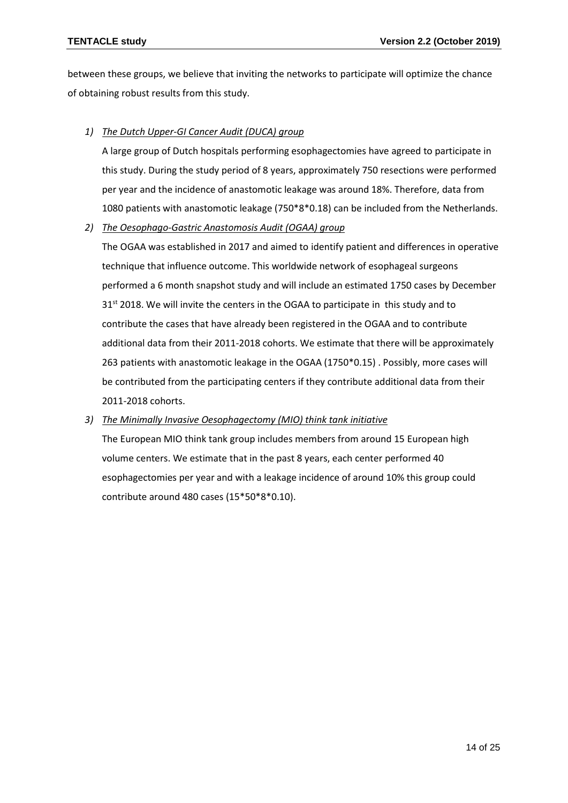between these groups, we believe that inviting the networks to participate will optimize the chance of obtaining robust results from this study.

## *1) The Dutch Upper-GI Cancer Audit (DUCA) group*

A large group of Dutch hospitals performing esophagectomies have agreed to participate in this study. During the study period of 8 years, approximately 750 resections were performed per year and the incidence of anastomotic leakage was around 18%. Therefore, data from 1080 patients with anastomotic leakage (750\*8\*0.18) can be included from the Netherlands.

## *2) The Oesophago-Gastric Anastomosis Audit (OGAA) group*

The OGAA was established in 2017 and aimed to identify patient and differences in operative technique that influence outcome. This worldwide network of esophageal surgeons performed a 6 month snapshot study and will include an estimated 1750 cases by December 31<sup>st</sup> 2018. We will invite the centers in the OGAA to participate in this study and to contribute the cases that have already been registered in the OGAA and to contribute additional data from their 2011-2018 cohorts. We estimate that there will be approximately 263 patients with anastomotic leakage in the OGAA (1750\*0.15) . Possibly, more cases will be contributed from the participating centers if they contribute additional data from their 2011-2018 cohorts.

## *3) The Minimally Invasive Oesophagectomy (MIO) think tank initiative*

The European MIO think tank group includes members from around 15 European high volume centers. We estimate that in the past 8 years, each center performed 40 esophagectomies per year and with a leakage incidence of around 10% this group could contribute around 480 cases (15\*50\*8\*0.10).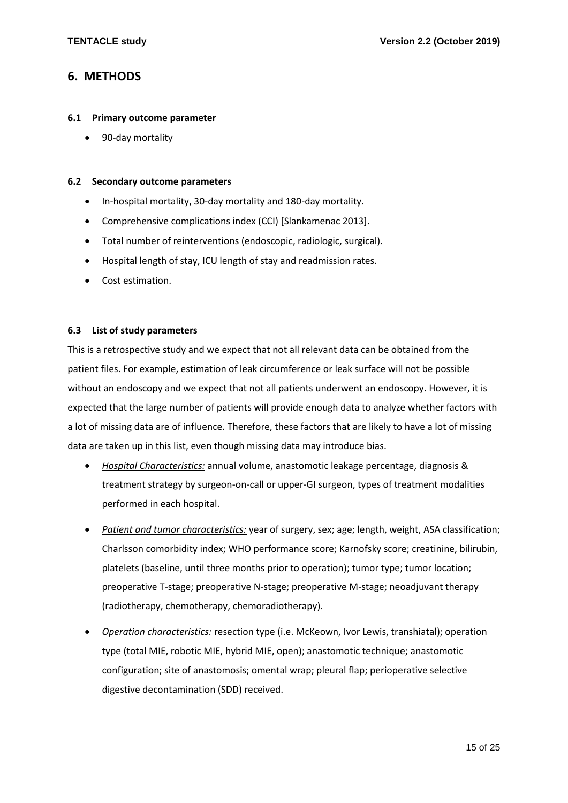# <span id="page-14-0"></span>**6. METHODS**

#### <span id="page-14-1"></span>**6.1 Primary outcome parameter**

• 90-day mortality

#### <span id="page-14-2"></span>**6.2 Secondary outcome parameters**

- In-hospital mortality, 30-day mortality and 180-day mortality.
- Comprehensive complications index (CCI) [Slankamenac 2013].
- Total number of reinterventions (endoscopic, radiologic, surgical).
- Hospital length of stay, ICU length of stay and readmission rates.
- Cost estimation.

#### <span id="page-14-3"></span>**6.3 List of study parameters**

This is a retrospective study and we expect that not all relevant data can be obtained from the patient files. For example, estimation of leak circumference or leak surface will not be possible without an endoscopy and we expect that not all patients underwent an endoscopy. However, it is expected that the large number of patients will provide enough data to analyze whether factors with a lot of missing data are of influence. Therefore, these factors that are likely to have a lot of missing data are taken up in this list, even though missing data may introduce bias.

- *Hospital Characteristics:* annual volume, anastomotic leakage percentage, diagnosis & treatment strategy by surgeon-on-call or upper-GI surgeon, types of treatment modalities performed in each hospital.
- *Patient and tumor characteristics:* year of surgery, sex; age; length, weight, ASA classification; Charlsson comorbidity index; WHO performance score; Karnofsky score; creatinine, bilirubin, platelets (baseline, until three months prior to operation); tumor type; tumor location; preoperative T-stage; preoperative N-stage; preoperative M-stage; neoadjuvant therapy (radiotherapy, chemotherapy, chemoradiotherapy).
- *Operation characteristics:* resection type (i.e. McKeown, Ivor Lewis, transhiatal); operation type (total MIE, robotic MIE, hybrid MIE, open); anastomotic technique; anastomotic configuration; site of anastomosis; omental wrap; pleural flap; perioperative selective digestive decontamination (SDD) received.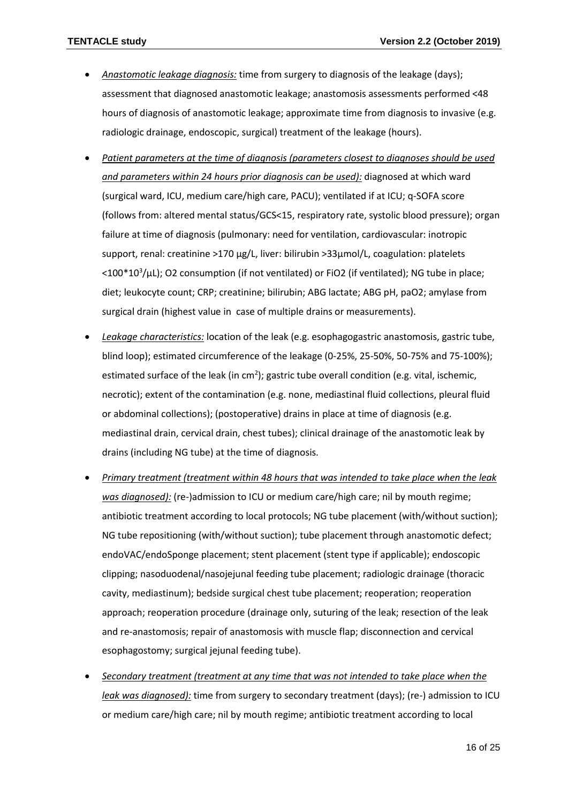- *Anastomotic leakage diagnosis:* time from surgery to diagnosis of the leakage (days); assessment that diagnosed anastomotic leakage; anastomosis assessments performed <48 hours of diagnosis of anastomotic leakage; approximate time from diagnosis to invasive (e.g. radiologic drainage, endoscopic, surgical) treatment of the leakage (hours).
- *Patient parameters at the time of diagnosis (parameters closest to diagnoses should be used and parameters within 24 hours prior diagnosis can be used):* diagnosed at which ward (surgical ward, ICU, medium care/high care, PACU); ventilated if at ICU; q-SOFA score (follows from: altered mental status/GCS<15, respiratory rate, systolic blood pressure); organ failure at time of diagnosis (pulmonary: need for ventilation, cardiovascular: inotropic support, renal: creatinine >170 µg/L, liver: bilirubin >33µmol/L, coagulation: platelets  $<$ 100\*10<sup>3</sup>/ $\mu$ L); O2 consumption (if not ventilated) or FiO2 (if ventilated); NG tube in place; diet; leukocyte count; CRP; creatinine; bilirubin; ABG lactate; ABG pH, paO2; amylase from surgical drain (highest value in case of multiple drains or measurements).
- *Leakage characteristics:* location of the leak (e.g. esophagogastric anastomosis, gastric tube, blind loop); estimated circumference of the leakage (0-25%, 25-50%, 50-75% and 75-100%); estimated surface of the leak (in cm<sup>2</sup>); gastric tube overall condition (e.g. vital, ischemic, necrotic); extent of the contamination (e.g. none, mediastinal fluid collections, pleural fluid or abdominal collections); (postoperative) drains in place at time of diagnosis (e.g. mediastinal drain, cervical drain, chest tubes); clinical drainage of the anastomotic leak by drains (including NG tube) at the time of diagnosis.
- *Primary treatment (treatment within 48 hours that was intended to take place when the leak was diagnosed):* (re-)admission to ICU or medium care/high care; nil by mouth regime; antibiotic treatment according to local protocols; NG tube placement (with/without suction); NG tube repositioning (with/without suction); tube placement through anastomotic defect; endoVAC/endoSponge placement; stent placement (stent type if applicable); endoscopic clipping; nasoduodenal/nasojejunal feeding tube placement; radiologic drainage (thoracic cavity, mediastinum); bedside surgical chest tube placement; reoperation; reoperation approach; reoperation procedure (drainage only, suturing of the leak; resection of the leak and re-anastomosis; repair of anastomosis with muscle flap; disconnection and cervical esophagostomy; surgical jejunal feeding tube).
- *Secondary treatment (treatment at any time that was not intended to take place when the leak was diagnosed):* time from surgery to secondary treatment (days); (re-) admission to ICU or medium care/high care; nil by mouth regime; antibiotic treatment according to local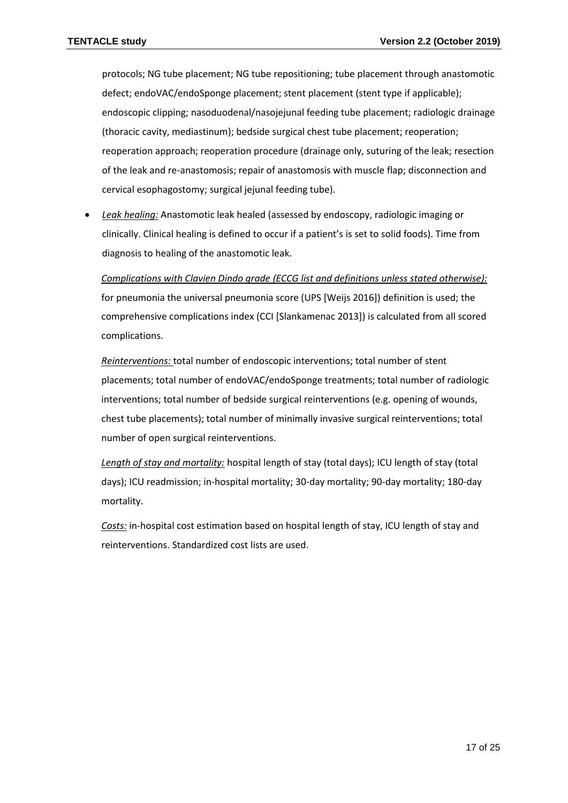protocols; NG tube placement; NG tube repositioning; tube placement through anastomotic defect; endoVAC/endoSponge placement; stent placement (stent type if applicable); endoscopic clipping; nasoduodenal/nasojejunal feeding tube placement; radiologic drainage (thoracic cavity, mediastinum); bedside surgical chest tube placement; reoperation; reoperation approach; reoperation procedure (drainage only, suturing of the leak; resection of the leak and re-anastomosis; repair of anastomosis with muscle flap; disconnection and cervical esophagostomy; surgical jejunal feeding tube).

• *Leak healing:* Anastomotic leak healed (assessed by endoscopy, radiologic imaging or clinically. Clinical healing is defined to occur if a patient's is set to solid foods). Time from diagnosis to healing of the anastomotic leak.

*Complications with Clavien Dindo grade (ECCG list and definitions unless stated otherwise):* for pneumonia the universal pneumonia score (UPS [Weijs 2016]) definition is used; the comprehensive complications index (CCI [Slankamenac 2013]) is calculated from all scored complications.

*Reinterventions:* total number of endoscopic interventions; total number of stent placements; total number of endoVAC/endoSponge treatments; total number of radiologic interventions; total number of bedside surgical reinterventions (e.g. opening of wounds, chest tube placements); total number of minimally invasive surgical reinterventions; total number of open surgical reinterventions.

*Length of stay and mortality:* hospital length of stay (total days); ICU length of stay (total days); ICU readmission; in-hospital mortality; 30-day mortality; 90-day mortality; 180-day mortality.

*Costs:* in-hospital cost estimation based on hospital length of stay, ICU length of stay and reinterventions. Standardized cost lists are used.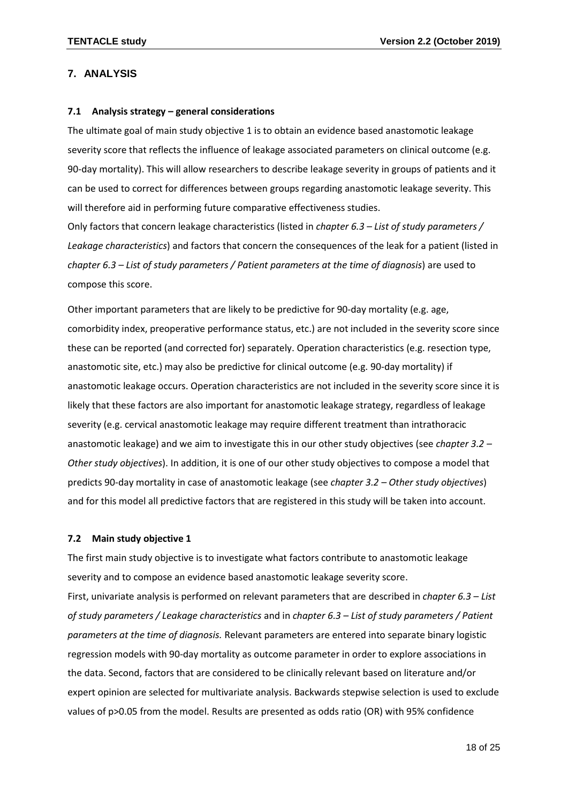## <span id="page-17-0"></span>**7. ANALYSIS**

#### <span id="page-17-1"></span>**7.1 Analysis strategy – general considerations**

The ultimate goal of main study objective 1 is to obtain an evidence based anastomotic leakage severity score that reflects the influence of leakage associated parameters on clinical outcome (e.g. 90-day mortality). This will allow researchers to describe leakage severity in groups of patients and it can be used to correct for differences between groups regarding anastomotic leakage severity. This will therefore aid in performing future comparative effectiveness studies. Only factors that concern leakage characteristics (listed in *chapter 6.3 – List of study parameters / Leakage characteristics*) and factors that concern the consequences of the leak for a patient (listed in

*chapter 6.3 – List of study parameters / Patient parameters at the time of diagnosis*) are used to compose this score.

Other important parameters that are likely to be predictive for 90-day mortality (e.g. age, comorbidity index, preoperative performance status, etc.) are not included in the severity score since these can be reported (and corrected for) separately. Operation characteristics (e.g. resection type, anastomotic site, etc.) may also be predictive for clinical outcome (e.g. 90-day mortality) if anastomotic leakage occurs. Operation characteristics are not included in the severity score since it is likely that these factors are also important for anastomotic leakage strategy, regardless of leakage severity (e.g. cervical anastomotic leakage may require different treatment than intrathoracic anastomotic leakage) and we aim to investigate this in our other study objectives (see *chapter 3.2 – Other study objectives*). In addition, it is one of our other study objectives to compose a model that predicts 90-day mortality in case of anastomotic leakage (see *chapter 3.2 – Other study objectives*) and for this model all predictive factors that are registered in this study will be taken into account.

## <span id="page-17-2"></span>**7.2 Main study objective 1**

The first main study objective is to investigate what factors contribute to anastomotic leakage severity and to compose an evidence based anastomotic leakage severity score.

First, univariate analysis is performed on relevant parameters that are described in *chapter 6.3 – List of study parameters / Leakage characteristics* and in *chapter 6.3 – List of study parameters / Patient parameters at the time of diagnosis.* Relevant parameters are entered into separate binary logistic regression models with 90-day mortality as outcome parameter in order to explore associations in the data. Second, factors that are considered to be clinically relevant based on literature and/or expert opinion are selected for multivariate analysis. Backwards stepwise selection is used to exclude values of p>0.05 from the model. Results are presented as odds ratio (OR) with 95% confidence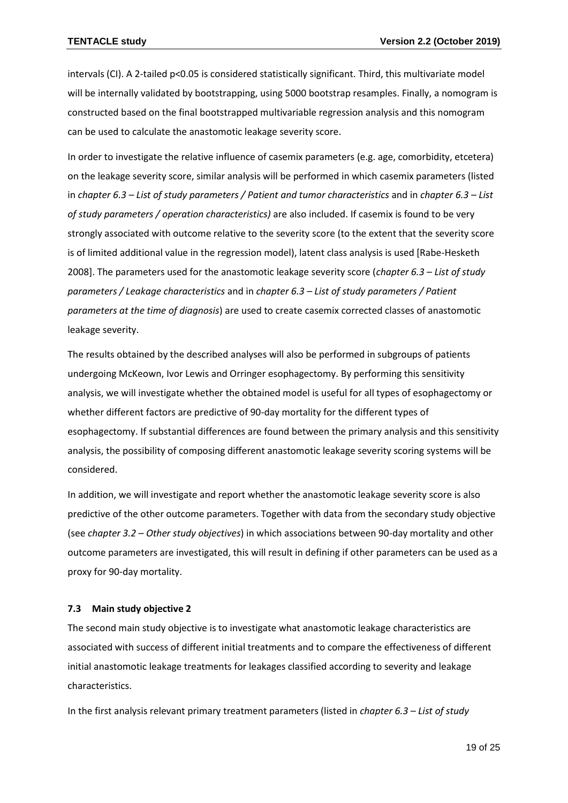intervals (CI). A 2-tailed p<0.05 is considered statistically significant. Third, this multivariate model will be internally validated by bootstrapping, using 5000 bootstrap resamples. Finally, a nomogram is constructed based on the final bootstrapped multivariable regression analysis and this nomogram can be used to calculate the anastomotic leakage severity score.

In order to investigate the relative influence of casemix parameters (e.g. age, comorbidity, etcetera) on the leakage severity score, similar analysis will be performed in which casemix parameters (listed in *chapter 6.3 – List of study parameters / Patient and tumor characteristics* and in *chapter 6.3 – List of study parameters / operation characteristics)* are also included. If casemix is found to be very strongly associated with outcome relative to the severity score (to the extent that the severity score is of limited additional value in the regression model), latent class analysis is used [Rabe-Hesketh 2008]. The parameters used for the anastomotic leakage severity score (*chapter 6.3 – List of study parameters / Leakage characteristics* and in *chapter 6.3 – List of study parameters / Patient parameters at the time of diagnosis*) are used to create casemix corrected classes of anastomotic leakage severity.

The results obtained by the described analyses will also be performed in subgroups of patients undergoing McKeown, Ivor Lewis and Orringer esophagectomy. By performing this sensitivity analysis, we will investigate whether the obtained model is useful for all types of esophagectomy or whether different factors are predictive of 90-day mortality for the different types of esophagectomy. If substantial differences are found between the primary analysis and this sensitivity analysis, the possibility of composing different anastomotic leakage severity scoring systems will be considered.

In addition, we will investigate and report whether the anastomotic leakage severity score is also predictive of the other outcome parameters. Together with data from the secondary study objective (see *chapter 3.2 – Other study objectives*) in which associations between 90-day mortality and other outcome parameters are investigated, this will result in defining if other parameters can be used as a proxy for 90-day mortality.

#### <span id="page-18-0"></span>**7.3 Main study objective 2**

The second main study objective is to investigate what anastomotic leakage characteristics are associated with success of different initial treatments and to compare the effectiveness of different initial anastomotic leakage treatments for leakages classified according to severity and leakage characteristics.

In the first analysis relevant primary treatment parameters (listed in *chapter 6.3 – List of study*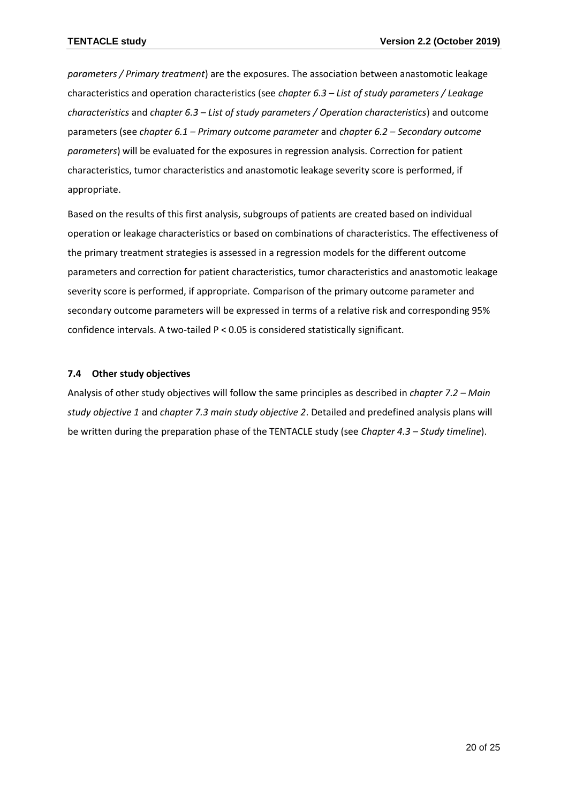*parameters / Primary treatment*) are the exposures. The association between anastomotic leakage characteristics and operation characteristics (see *chapter 6.3 – List of study parameters / Leakage characteristics* and *chapter 6.3 – List of study parameters / Operation characteristics*) and outcome parameters (see *chapter 6.1 – Primary outcome parameter* and *chapter 6.2 – Secondary outcome parameters*) will be evaluated for the exposures in regression analysis. Correction for patient characteristics, tumor characteristics and anastomotic leakage severity score is performed, if appropriate.

Based on the results of this first analysis, subgroups of patients are created based on individual operation or leakage characteristics or based on combinations of characteristics. The effectiveness of the primary treatment strategies is assessed in a regression models for the different outcome parameters and correction for patient characteristics, tumor characteristics and anastomotic leakage severity score is performed, if appropriate. Comparison of the primary outcome parameter and secondary outcome parameters will be expressed in terms of a relative risk and corresponding 95% confidence intervals. A two-tailed P < 0.05 is considered statistically significant.

## <span id="page-19-0"></span>**7.4 Other study objectives**

Analysis of other study objectives will follow the same principles as described in *chapter 7.2 – Main study objective 1* and *chapter 7.3 main study objective 2*. Detailed and predefined analysis plans will be written during the preparation phase of the TENTACLE study (see *Chapter 4.3 – Study timeline*).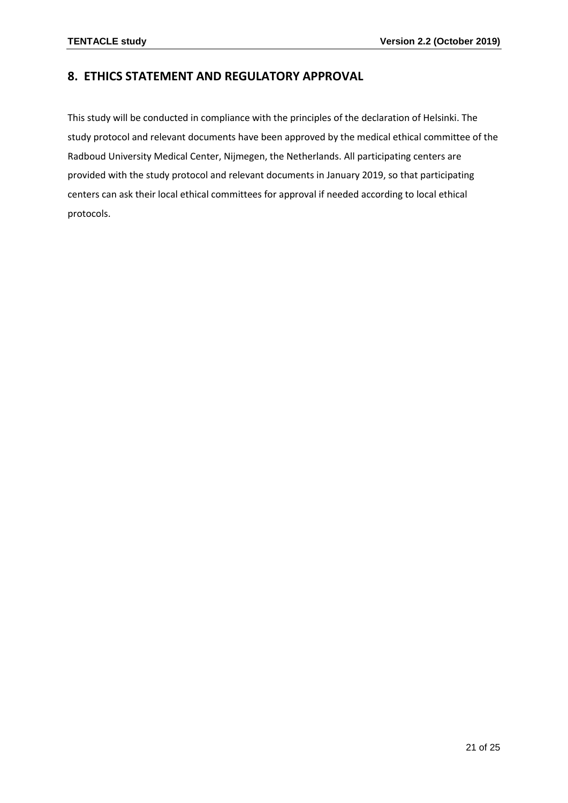# <span id="page-20-0"></span>**8. ETHICS STATEMENT AND REGULATORY APPROVAL**

This study will be conducted in compliance with the principles of the declaration of Helsinki. The study protocol and relevant documents have been approved by the medical ethical committee of the Radboud University Medical Center, Nijmegen, the Netherlands. All participating centers are provided with the study protocol and relevant documents in January 2019, so that participating centers can ask their local ethical committees for approval if needed according to local ethical protocols.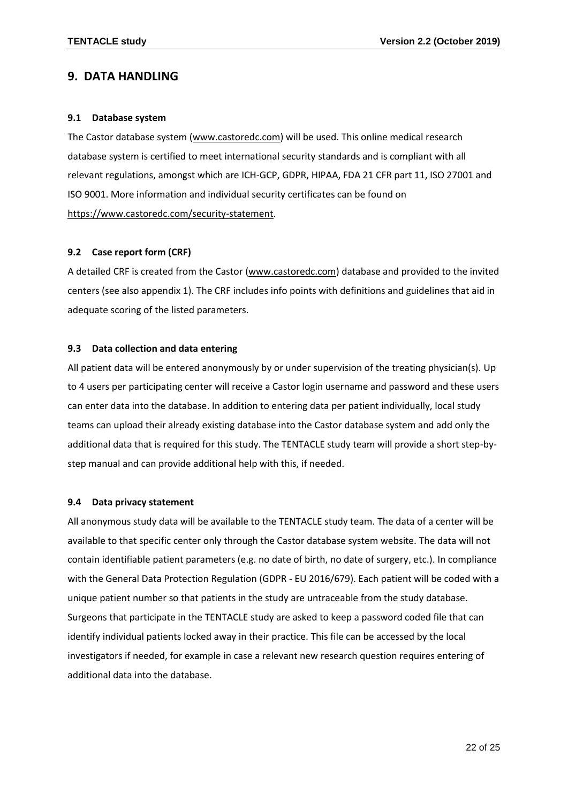# <span id="page-21-0"></span>**9. DATA HANDLING**

#### <span id="page-21-1"></span>**9.1 Database system**

The Castor database system [\(www.castoredc.com\)](http://www.castoredc.com/) will be used. This online medical research database system is certified to meet international security standards and is compliant with all relevant regulations, amongst which are ICH-GCP, GDPR, HIPAA, FDA 21 CFR part 11, ISO 27001 and ISO 9001. More information and individual security certificates can be found on [https://www.castoredc.com/security-statement.](https://www.castoredc.com/security-statement)

#### <span id="page-21-2"></span>**9.2 Case report form (CRF)**

A detailed CRF is created from the Castor [\(www.castoredc.com\)](http://www.castoredc.com/) database and provided to the invited centers (see also appendix 1). The CRF includes info points with definitions and guidelines that aid in adequate scoring of the listed parameters.

#### <span id="page-21-3"></span>**9.3 Data collection and data entering**

All patient data will be entered anonymously by or under supervision of the treating physician(s). Up to 4 users per participating center will receive a Castor login username and password and these users can enter data into the database. In addition to entering data per patient individually, local study teams can upload their already existing database into the Castor database system and add only the additional data that is required for this study. The TENTACLE study team will provide a short step-bystep manual and can provide additional help with this, if needed.

#### <span id="page-21-4"></span>**9.4 Data privacy statement**

All anonymous study data will be available to the TENTACLE study team. The data of a center will be available to that specific center only through the Castor database system website. The data will not contain identifiable patient parameters (e.g. no date of birth, no date of surgery, etc.). In compliance with the General Data Protection Regulation (GDPR - EU 2016/679). Each patient will be coded with a unique patient number so that patients in the study are untraceable from the study database. Surgeons that participate in the TENTACLE study are asked to keep a password coded file that can identify individual patients locked away in their practice. This file can be accessed by the local investigators if needed, for example in case a relevant new research question requires entering of additional data into the database.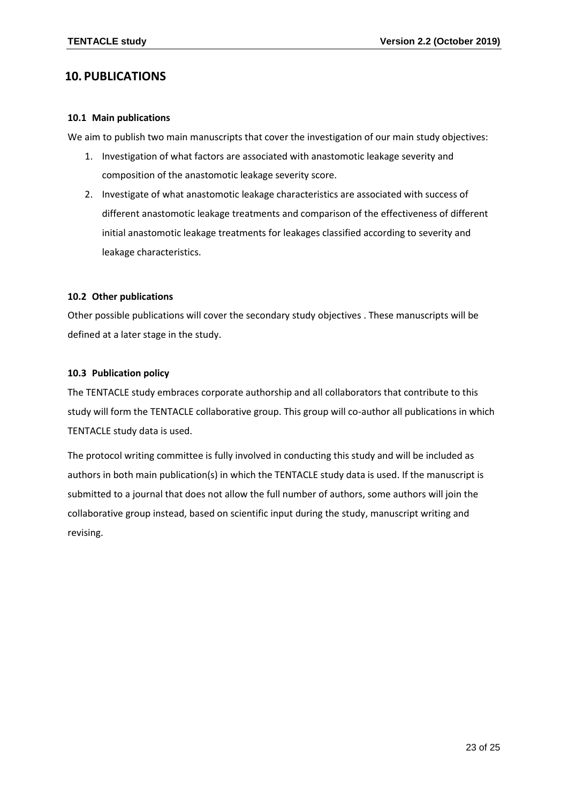# <span id="page-22-0"></span>**10. PUBLICATIONS**

#### <span id="page-22-1"></span>**10.1 Main publications**

We aim to publish two main manuscripts that cover the investigation of our main study objectives:

- 1. Investigation of what factors are associated with anastomotic leakage severity and composition of the anastomotic leakage severity score.
- 2. Investigate of what anastomotic leakage characteristics are associated with success of different anastomotic leakage treatments and comparison of the effectiveness of different initial anastomotic leakage treatments for leakages classified according to severity and leakage characteristics.

#### <span id="page-22-2"></span>**10.2 Other publications**

Other possible publications will cover the secondary study objectives . These manuscripts will be defined at a later stage in the study.

## <span id="page-22-3"></span>**10.3 Publication policy**

The TENTACLE study embraces corporate authorship and all collaborators that contribute to this study will form the TENTACLE collaborative group. This group will co-author all publications in which TENTACLE study data is used.

<span id="page-22-4"></span>The protocol writing committee is fully involved in conducting this study and will be included as authors in both main publication(s) in which the TENTACLE study data is used. If the manuscript is submitted to a journal that does not allow the full number of authors, some authors will join the collaborative group instead, based on scientific input during the study, manuscript writing and revising.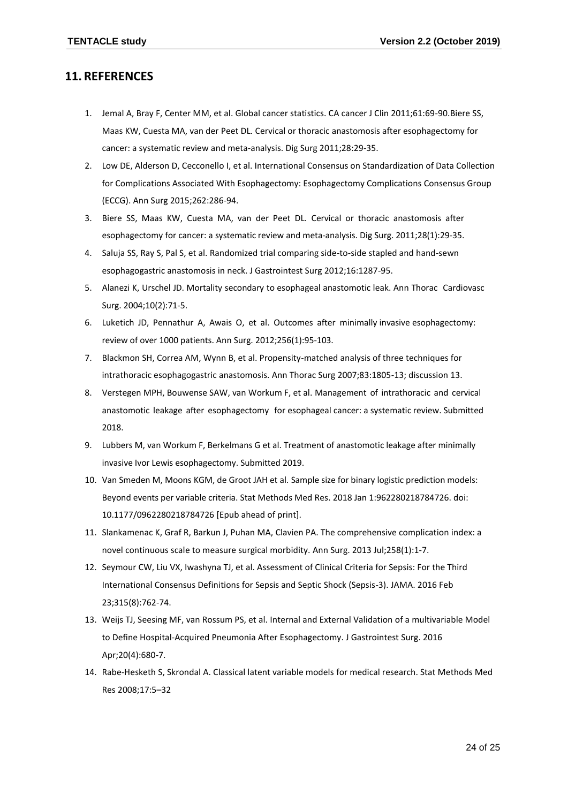## **11. REFERENCES**

- 1. Jemal A, Bray F, Center MM, et al. Global cancer statistics. CA cancer J Clin 2011;61:69-90.Biere SS, Maas KW, Cuesta MA, van der Peet DL. Cervical or thoracic anastomosis after esophagectomy for cancer: a systematic review and meta-analysis. Dig Surg 2011;28:29-35.
- 2. Low DE, Alderson D, Cecconello I, et al. International Consensus on Standardization of Data Collection for Complications Associated With Esophagectomy: Esophagectomy Complications Consensus Group (ECCG). Ann Surg 2015;262:286-94.
- 3. Biere SS, Maas KW, Cuesta MA, van der Peet DL. Cervical or thoracic anastomosis after esophagectomy for cancer: a systematic review and meta-analysis. Dig Surg. 2011;28(1):29-35.
- 4. Saluja SS, Ray S, Pal S, et al. Randomized trial comparing side-to-side stapled and hand-sewn esophagogastric anastomosis in neck. J Gastrointest Surg 2012;16:1287-95.
- 5. Alanezi K, Urschel JD. Mortality secondary to esophageal anastomotic leak. Ann Thorac Cardiovasc Surg. 2004;10(2):71-5.
- 6. Luketich JD, Pennathur A, Awais O, et al. Outcomes after minimally invasive esophagectomy: review of over 1000 patients. Ann Surg. 2012;256(1):95-103.
- 7. Blackmon SH, Correa AM, Wynn B, et al. Propensity-matched analysis of three techniques for intrathoracic esophagogastric anastomosis. Ann Thorac Surg 2007;83:1805-13; discussion 13.
- 8. Verstegen MPH, Bouwense SAW, van Workum F, et al. Management of intrathoracic and cervical anastomotic leakage after esophagectomy for esophageal cancer: a systematic review. Submitted 2018.
- 9. Lubbers M, van Workum F, Berkelmans G et al. Treatment of anastomotic leakage after minimally invasive Ivor Lewis esophagectomy. Submitted 2019.
- 10. Van Smeden M, Moons KGM, de Groot JAH et al. Sample size for binary logistic prediction models: Beyond events per variable criteria. Stat Methods Med Res. 2018 Jan 1:962280218784726. doi: 10.1177/0962280218784726 [Epub ahead of print].
- 11. Slankamenac K, Graf R, Barkun J, Puhan MA, Clavien PA. The comprehensive complication index: a novel continuous scale to measure surgical morbidity. Ann Surg. 2013 Jul;258(1):1-7.
- 12. Seymour CW, Liu VX, Iwashyna TJ, et al. Assessment of Clinical Criteria for Sepsis: For the Third International Consensus Definitions for Sepsis and Septic Shock (Sepsis-3). JAMA. 2016 Feb 23;315(8):762-74.
- 13. Weijs TJ, Seesing MF, van Rossum PS, et al. Internal and External Validation of a multivariable Model to Define Hospital-Acquired Pneumonia After Esophagectomy. J Gastrointest Surg. 2016 Apr;20(4):680-7.
- 14. Rabe-Hesketh S, Skrondal A. Classical latent variable models for medical research. Stat Methods Med Res 2008;17:5–32